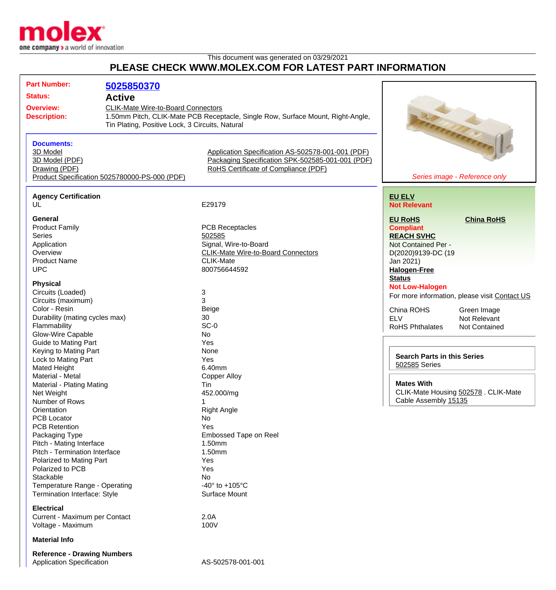

## This document was generated on 03/29/2021 **PLEASE CHECK WWW.MOLEX.COM FOR LATEST PART INFORMATION**

| <b>Part Number:</b><br><b>Status:</b><br><b>Overview:</b><br><b>Description:</b>                                                                                                                                                                                                                                                                                    | 5025850370<br><b>Active</b><br><b>CLIK-Mate Wire-to-Board Connectors</b><br>Tin Plating, Positive Lock, 3 Circuits, Natural | 1.50mm Pitch, CLIK-Mate PCB Receptacle, Single Row, Surface Mount, Right-Angle,                                                                                          |                                                                                                                      | all arthur de la Card                                                                         |
|---------------------------------------------------------------------------------------------------------------------------------------------------------------------------------------------------------------------------------------------------------------------------------------------------------------------------------------------------------------------|-----------------------------------------------------------------------------------------------------------------------------|--------------------------------------------------------------------------------------------------------------------------------------------------------------------------|----------------------------------------------------------------------------------------------------------------------|-----------------------------------------------------------------------------------------------|
| <b>Documents:</b><br>3D Model<br>3D Model (PDF)<br>Drawing (PDF)                                                                                                                                                                                                                                                                                                    | Product Specification 5025780000-PS-000 (PDF)                                                                               | Application Specification AS-502578-001-001 (PDF)<br>Packaging Specification SPK-502585-001-001 (PDF)<br>RoHS Certificate of Compliance (PDF)                            |                                                                                                                      | Series image - Reference only                                                                 |
| <b>Agency Certification</b>                                                                                                                                                                                                                                                                                                                                         |                                                                                                                             |                                                                                                                                                                          | <b>EU ELV</b>                                                                                                        |                                                                                               |
| UL                                                                                                                                                                                                                                                                                                                                                                  |                                                                                                                             | E29179                                                                                                                                                                   | <b>Not Relevant</b>                                                                                                  |                                                                                               |
| <b>General</b><br><b>Product Family</b><br><b>Series</b><br>Application<br>Overview<br><b>Product Name</b>                                                                                                                                                                                                                                                          |                                                                                                                             | <b>PCB Receptacles</b><br>502585<br>Signal, Wire-to-Board<br><b>CLIK-Mate Wire-to-Board Connectors</b><br><b>CLIK-Mate</b>                                               | <b>EU RoHS</b><br><b>Compliant</b><br><b>REACH SVHC</b><br>Not Contained Per -<br>D(2020)9139-DC (19<br>Jan 2021)    | <b>China RoHS</b>                                                                             |
| <b>UPC</b><br><b>Physical</b><br>Circuits (Loaded)<br>Circuits (maximum)<br>Color - Resin<br>Durability (mating cycles max)<br>Flammability<br>Glow-Wire Capable                                                                                                                                                                                                    |                                                                                                                             | 800756644592<br>3<br>3<br>Beige<br>30<br>$SC-0$<br>No                                                                                                                    | <b>Halogen-Free</b><br><b>Status</b><br><b>Not Low-Halogen</b><br>China ROHS<br><b>ELV</b><br><b>RoHS Phthalates</b> | For more information, please visit Contact US<br>Green Image<br>Not Relevant<br>Not Contained |
| <b>Guide to Mating Part</b><br>Keying to Mating Part<br>Lock to Mating Part<br>Mated Height<br>Material - Metal<br>Material - Plating Mating<br>Net Weight                                                                                                                                                                                                          |                                                                                                                             | Yes<br>None<br>Yes<br>6.40mm<br><b>Copper Alloy</b><br>Tin<br>452.000/mg                                                                                                 | <b>Search Parts in this Series</b><br>502585 Series<br><b>Mates With</b>                                             | CLIK-Mate Housing 502578 . CLIK-Mate                                                          |
| Number of Rows<br>Orientation<br><b>PCB Locator</b><br><b>PCB Retention</b><br>Packaging Type<br>Pitch - Mating Interface<br>Pitch - Termination Interface<br>Polarized to Mating Part<br>Polarized to PCB<br>Stackable<br>Temperature Range - Operating<br>Termination Interface: Style<br><b>Electrical</b><br>Current - Maximum per Contact<br>Voltage - Maximum |                                                                                                                             | <b>Right Angle</b><br>No<br>Yes<br>Embossed Tape on Reel<br>1.50mm<br>1.50mm<br>Yes<br>Yes<br>No<br>-40 $^{\circ}$ to +105 $^{\circ}$ C<br>Surface Mount<br>2.0A<br>100V | Cable Assembly 15135                                                                                                 |                                                                                               |
| <b>Material Info</b>                                                                                                                                                                                                                                                                                                                                                |                                                                                                                             |                                                                                                                                                                          |                                                                                                                      |                                                                                               |
| <b>Reference - Drawing Numbers</b><br><b>Application Specification</b>                                                                                                                                                                                                                                                                                              |                                                                                                                             | AS-502578-001-001                                                                                                                                                        |                                                                                                                      |                                                                                               |